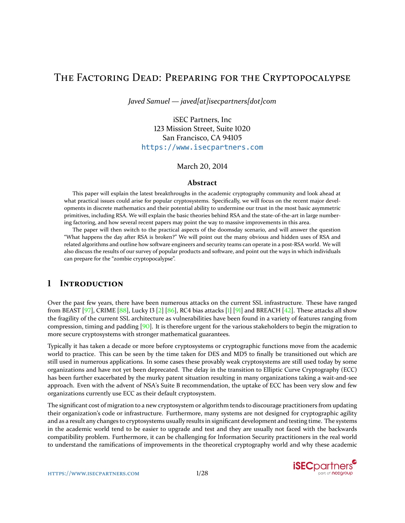# <span id="page-0-0"></span>THE FACTORING DEAD: PREPARING FOR THE CRYPTOPOCALYPSE

*Javed Samuel — javed[at]isecpartners[dot]com*

iSEC Partners, Inc 123 Mission Street, Suite 1020 San Francisco, CA 94105 <https://www.isecpartners.com>

March 20, 2014

### **Abstract**

This paper will explain the latest breakthroughs in the academic cryptography community and look ahead at what practical issues could arise for popular cryptosystems. Specifically, we will focus on the recent major developments in discrete mathematics and their potential ability to undermine our trust in the most basic asymmetric primitives, including RSA. We will explain the basic theories behind RSA and the state-of-the-art in large numbering factoring, and how several recent papers may point the way to massive improvements in this area.

The paper will then switch to the practical aspects of the doomsday scenario, and will answer the question "What happens the day after RSA is broken?" We will point out the many obvious and hidden uses of RSA and related algorithms and outline how software engineers and security teams can operate in a post-RSA world. We will also discuss the results of our survey of popular products and software, and point out the ways in which individuals can prepare for the "zombie cryptopocalypse".

## **1 INTRODUCTION**

Over the past few years, there have been numerous attacks on the current SSL infrastructure. These have ranged from BEAST [\[97\]](#page-27-0), CRIME [\[88\]](#page-27-1), Lucky 13 [\[2\]](#page-23-0) [\[86\]](#page-27-2), RC4 bias attacks [\[1\]](#page-23-1) [\[91\]](#page-27-3) and BREACH [\[42\]](#page-25-0). These attacks all show the fragility of the current SSL architecture as vulnerabilities have been found in a variety of features ranging from compression, timing and padding [\[90\]](#page-27-4). It is therefore urgent for the various stakeholders to begin the migration to more secure cryptosystems with stronger mathematical guarantees.

Typically it has taken a decade or more before cryptosystems or cryptographic functions move from the academic world to practice. This can be seen by the time taken for DES and MD5 to finally be transitioned out which are still used in numerous applications. In some cases these provably weak cryptosystems are still used today by some organizations and have not yet been deprecated. The delay in the transition to Elliptic Curve Cryptography (ECC) has been further exacerbated by the murky patent situation resulting in many organizations taking a wait-and-see approach. Even with the advent of NSA's Suite B recommendation, the uptake of ECC has been very slow and few organizations currently use ECC as their default cryptosystem.

The significant cost of migration to a new cryptosystem or algorithm tends to discourage practitioners from updating their organization's code or infrastructure. Furthermore, many systems are not designed for cryptographic agility and as a result any changes to cryptosystems usually results in significant development and testing time. The systems in the academic world tend to be easier to upgrade and test and they are usually not faced with the backwards compatibility problem. Furthermore, it can be challenging for Information Security practitioners in the real world to understand the ramifications of improvements in the theoretical cryptography world and why these academic

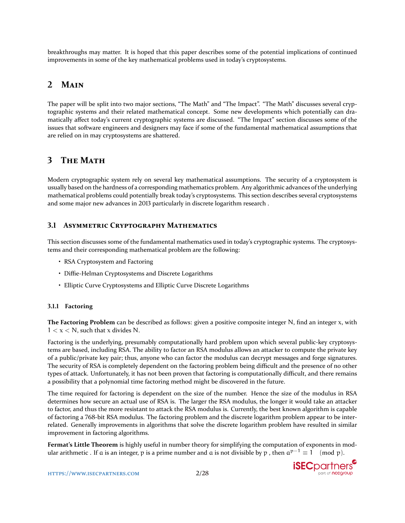breakthroughs may matter. It is hoped that this paper describes some of the potential implications of continued improvements in some of the key mathematical problems used in today's cryptosystems.

# **2 MAIN**

The paper will be split into two major sections, "The Math" and "The Impact". "The Math" discusses several cryptographic systems and their related mathematical concept. Some new developments which potentially can dramatically affect today's current cryptographic systems are discussed. "The Impact" section discusses some of the issues that software engineers and designers may face if some of the fundamental mathematical assumptions that are relied on in may cryptosystems are shattered.

# **3 THE MATH**

Modern cryptographic system rely on several key mathematical assumptions. The security of a cryptosystem is usually based on the hardness of a corresponding mathematics problem. Any algorithmic advances of the underlying mathematical problems could potentially break today's cryptosystems. This section describes several cryptosystems and some major new advances in 2013 particularly in discrete logarithm research .

## **3.1 ASYMMETRIC CRYPTOGRAPHY MATHEMATICS**

This section discusses some of the fundamental mathematics used in today's cryptographic systems. The cryptosystems and their corresponding mathematical problem are the following:

- RSA Cryptosystem and Factoring
- Diffie-Helman Cryptosystems and Discrete Logarithms
- Elliptic Curve Cryptosystems and Elliptic Curve Discrete Logarithms

## **3.1.1 Factoring**

**The Factoring Problem** can be described as follows: given a positive composite integer N, find an integer x, with  $1 < x < N$ , such that x divides N.

Factoring is the underlying, presumably computationally hard problem upon which several public-key cryptosystems are based, including RSA. The ability to factor an RSA modulus allows an attacker to compute the private key of a public/private key pair; thus, anyone who can factor the modulus can decrypt messages and forge signatures. The security of RSA is completely dependent on the factoring problem being difficult and the presence of no other types of attack. Unfortunately, it has not been proven that factoring is computationally difficult, and there remains a possibility that a polynomial time factoring method might be discovered in the future.

The time required for factoring is dependent on the size of the number. Hence the size of the modulus in RSA determines how secure an actual use of RSA is. The larger the RSA modulus, the longer it would take an attacker to factor, and thus the more resistant to attack the RSA modulus is. Currently, the best known algorithm is capable of factoring a 768-bit RSA modulus. The factoring problem and the discrete logarithm problem appear to be interrelated. Generally improvements in algorithms that solve the discrete logarithm problem have resulted in similar improvement in factoring algorithms.

**Fermat's Little Theorem** is highly useful in number theory for simplifying the computation of exponents in modular arithmetic . If a is an integer, p is a prime number and a is not divisible by p, then  $a^{p-1} \equiv 1 \pmod{p}$ .

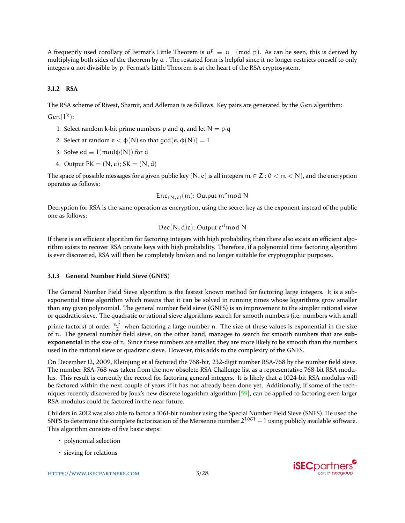<span id="page-2-0"></span>A frequently used corollary of Fermat's Little Theorem is  $a^p \equiv a \pmod{p}$ . As can be seen, this is derived by multiplying both sides of the theorem by  $a$ . The restated form is helpful since it no longer restricts oneself to only integers a not divisible by p. Fermat's Little Theorem is at the heart of the RSA cryptosystem.

### **3.1.2 RSA**

The RSA scheme of Rivest, Shamir, and Adleman is as follows. Key pairs are generated by the Gen algorithm:

 $Gen(1<sup>k</sup>)$ :

- 1. Select random k-bit prime numbers p and q, and let  $N = p \cdot q$
- 2. Select at random  $e < \phi(N)$  so that  $gcd(e, \phi(N)) = 1$
- 3. Solve  $ed \equiv 1 \pmod{(\mathsf{N})}$  for d
- 4. Output  $PK = (N, e); SK = (N, d)$

The space of possible messages for a given public key  $(N, e)$  is all integers  $m \in \mathbb{Z} : 0 < m < N$ , and the encryption operates as follows:

$$
Enc_{(N,e)}(m)
$$
: Output  $m^e \mod N$ 

Decryption for RSA is the same operation as encryption, using the secret key as the exponent instead of the public one as follows:

$$
Dec(N, d)c): Output cd mod N
$$

If there is an efficient algorithm for factoring integers with high probability, then there also exists an efficient algorithm exists to recover RSA private keys with high probability. Therefore, if a polynomial time factoring algorithm is ever discovered, RSA will then be completely broken and no longer suitable for cryptographic purposes.

#### **3.1.3 General Number Field Sieve (GNFS)**

The General Number Field Sieve algorithm is the fastest known method for factoring large integers. It is a subexponential time algorithm which means that it can be solved in running times whose logarithms grow smaller than any given polynomial. The general number field sieve (GNFS) is an improvement to the simpler rational sieve or quadratic sieve. The quadratic or rational sieve algorithms search for smooth numbers (i.e. numbers with small prime factors) of order  $\frac{n^{\frac{1}{2}}}{2}$  when factoring a large number n. The size of these values is exponential in the size

of n. The general number field sieve, on the other hand, manages to search for smooth numbers that are **subexponential** in the size of n. Since these numbers are smaller, they are more likely to be smooth than the numbers used in the rational sieve or quadratic sieve. However, this adds to the complexity of the GNFS.

On December 12, 2009, Kleinjung et al factored the 768-bit, 232-digit number RSA-768 by the number field sieve. The number RSA-768 was taken from the now obsolete RSA Challenge list as a representative 768-bit RSA modulus. This result is currently the record for factoring general integers. It is likely that a 1024-bit RSA modulus will be factored within the next couple of years if it has not already been done yet. Additionally, if some of the techniques recently discovered by Joux's new discrete logarithm algorithm [\[59\]](#page-25-1), can be applied to factoring even larger RSA-modulus could be factored in the near future.

Childers in 2012 was also able to factor a 1061-bit number using the Special Number Field Sieve (SNFS). He used the SNFS to determine the complete factorization of the Mersenne number  $2^{1061} - 1$  using publicly available software. This algorithm consists of five basic steps:

- polynomial selection
- sieving for relations

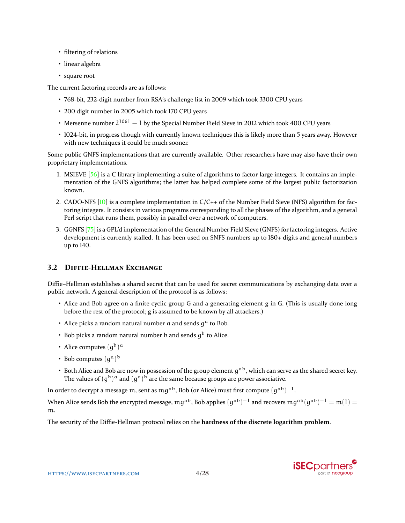- <span id="page-3-0"></span>• filtering of relations
- linear algebra
- square root

The current factoring records are as follows:

- 768-bit, 232-digit number from RSA's challenge list in 2009 which took 3300 CPU years
- 200 digit number in 2005 which took 170 CPU years
- Mersenne number  $2^{1061} 1$  by the Special Number Field Sieve in 2012 which took 400 CPU years
- 1024-bit, in progress though with currently known techniques this is likely more than 5 years away. However with new techniques it could be much sooner.

Some public GNFS implementations that are currently available. Other researchers have may also have their own proprietary implementations.

- 1. MSIEVE  $[56]$  is a C library implementing a suite of algorithms to factor large integers. It contains an implementation of the GNFS algorithms; the latter has helped complete some of the largest public factorization known.
- 2. CADO-NFS  $[10]$  is a complete implementation in  $C/C++$  of the Number Field Sieve (NFS) algorithm for factoring integers. It consists in various programs corresponding to all the phases of the algorithm, and a general Perl script that runs them, possibly in parallel over a network of computers.
- 3. GGNFS [\[75\]](#page-26-0) is a GPL'd implementation of the General Number Field Sieve (GNFS) for factoring integers. Active development is currently stalled. It has been used on SNFS numbers up to 180+ digits and general numbers up to 140.

## **3.2 DIFFIE-HELLMAN EXCHANGE**

Diffie–Hellman establishes a shared secret that can be used for secret communications by exchanging data over a public network. A general description of the protocol is as follows:

- Alice and Bob agree on a finite cyclic group G and a generating element g in G. (This is usually done long before the rest of the protocol; g is assumed to be known by all attackers.)
- Alice picks a random natural number  $a$  and sends  $g^a$  to Bob.
- Bob picks a random natural number  $b$  and sends  $g<sup>b</sup>$  to Alice.
- Alice computes  $(g^b)^a$
- Bob computes  $(g^a)^b$
- Both Alice and Bob are now in possession of the group element  $g^{ab}$ , which can serve as the shared secret key. The values of  $(g^b)^a$  and  $(g^a)^b$  are the same because groups are power associative.

In order to decrypt a message m, sent as  $\mathrm{mg}^{\mathrm{ab}},$  Bob (or Alice) must first compute  $(\mathrm{g}^{\mathrm{ab}})^{-1}.$ 

When Alice sends Bob the encrypted message,  $mg^{ab}$ , Bob applies  $(g^{ab})^{-1}$  and recovers  $mg^{ab}(g^{ab})^{-1} = m(1) =$ m.

The security of the Diffie-Hellman protocol relies on the **hardness of the discrete logarithm problem**.

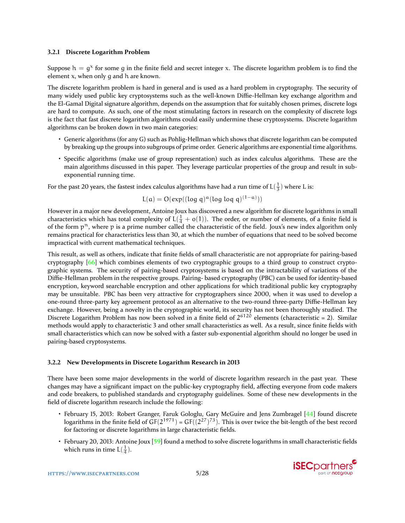#### <span id="page-4-0"></span>**3.2.1 Discrete Logarithm Problem**

Suppose  $h = g^x$  for some g in the finite field and secret integer x. The discrete logarithm problem is to find the element x, when only g and h are known.

The discrete logarithm problem is hard in general and is used as a hard problem in cryptography. The security of many widely used public key cryptosystems such as the well-known Diffie-Hellman key exchange algorithm and the El-Gamal Digital signature algorithm, depends on the assumption that for suitably chosen primes, discrete logs are hard to compute. As such, one of the most stimulating factors in research on the complexity of discrete logs is the fact that fast discrete logarithm algorithms could easily undermine these cryptosystems. Discrete logarithm algorithms can be broken down in two main categories:

- Generic algorithms (for any G) such as Pohlig-Hellman which shows that discrete logarithm can be computed by breaking up the groups into subgroups of prime order. Generic algorithms are exponential time algorithms.
- Specific algorithms (make use of group representation) such as index calculus algorithms. These are the main algorithms discussed in this paper. They leverage particular properties of the group and result in subexponential running time.

For the past 20 years, the fastest index calculus algorithms have had a run time of  $L(\frac{1}{3})$  where L is:

$$
L(a) = O(\exp((\log q)^{\alpha} (\log \log q)^{(1-\alpha)}))
$$

However in a major new development, Antoine Joux has discovered a new algorithm for discrete logarithms in small characteristics which has total complexity of  $L(\frac{1}{4} + o(1))$ . The order, or number of elements, of a finite field is of the form  $p<sup>n</sup>$ , where p is a prime number called the characteristic of the field. Joux's new index algorithm only remains practical for characteristics less than 30, at which the number of equations that need to be solved become impractical with current mathematical techniques.

This result, as well as others, indicate that finite fields of small characteristic are not appropriate for pairing-based cryptography [\[66\]](#page-26-1) which combines elements of two cryptographic groups to a third group to construct cryptographic systems. The security of pairing-based cryptosystems is based on the intractability of variations of the Diffie-Hellman problem in the respective groups. Pairing- based cryptography (PBC) can be used for identity-based encryption, keyword searchable encryption and other applications for which traditional public key cryptography may be unsuitable. PBC has been very attractive for cryptographers since 2000, when it was used to develop a one-round three-party key agreement protocol as an alternative to the two-round three-party Diffie-Hellman key exchange. However, being a novelty in the cryptographic world, its security has not been thoroughly studied. The Discrete Logarithm Problem has now been solved in a finite field of 2<sup>6120</sup> elements (characteristic = 2). Similar methods would apply to characteristic 3 and other small characteristics as well. As a result, since finite fields with small characteristics which can now be solved with a faster sub-exponential algorithm should no longer be used in pairing-based cryptosystems.

#### **3.2.2 New Developments in Discrete Logarithm Research in 2013**

There have been some major developments in the world of discrete logarithm research in the past year. These changes may have a significant impact on the public-key cryptography field, affecting everyone from code makers and code breakers, to published standards and cryptography guidelines. Some of these new developments in the field of discrete logarithm research include the following:

- February 15, 2013: Robert Granger, Faruk Gologlu, Gary McGuire and Jens Zumbragel [\[44\]](#page-25-3) found discrete logarithms in the finite field of  $GF(2^{1971}) = GF((2^{27})^{73})$ . This is over twice the bit-length of the best record for factoring or discrete logarithms in large characteristic fields.
- February 20, 2013: Antoine Joux [\[59\]](#page-25-1) found a method to solve discrete logarithms in small characteristic fields which runs in time  $L(\frac{1}{4})$ .

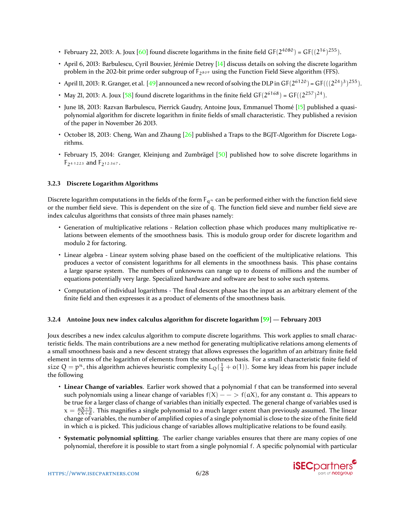- <span id="page-5-0"></span>• February 22, 2013: A. Joux [\[60\]](#page-25-4) found discrete logarithms in the finite field  $GF(2^{4080}) = GF((2^{16})^{255})$ .
- April 6, 2013: Barbulescu, Cyril Bouvier, Jérémie Detrey [\[14\]](#page-23-3) discuss details on solving the discrete logarithm problem in the 202-bit prime order subgroup of  $F_{2809}$  using the Function Field Sieve algorithm (FFS).
- April 11, 2013: R. Granger, et al. [\[49\]](#page-25-5) announced a new record of solving the DLP in  $GF(2^{6120})$  =  $GF(((2^{24})^3)^{255})$ .
- May 21, 2013: A. Joux [\[58\]](#page-25-6) found discrete logarithms in the finite field  $GF(2^{6168}) = GF((2^{257})^{24})$ .
- June 18, 2013: Razvan Barbulescu, Pierrick Gaudry, Antoine Joux, Emmanuel Thomé [\[15\]](#page-23-4) published a quasipolynomial algorithm for discrete logarithm in finite fields of small characteristic. They published a revision of the paper in November 26 2013.
- October 18, 2013: Cheng, Wan and Zhaung [\[26\]](#page-24-0) published a Traps to the BGJT-Algorithm for Discrete Logarithms.
- February 15, 2014: Granger, Kleinjung and Zumbrägel [\[50\]](#page-25-7) published how to solve discrete logarithms in F24·<sup>1223</sup> and F212·<sup>367</sup> .

### **3.2.3 Discrete Logarithm Algorithms**

Discrete logarithm computations in the fields of the form  $F_{q^n}$  can be performed either with the function field sieve or the number field sieve. This is dependent on the size of q. The function field sieve and number field sieve are index calculus algorithms that consists of three main phases namely:

- Generation of multiplicative relations Relation collection phase which produces many multiplicative relations between elements of the smoothness basis. This is modulo group order for discrete logarithm and modulo 2 for factoring.
- Linear algebra Linear system solving phase based on the coefficient of the multiplicative relations. This produces a vector of consistent logarithms for all elements in the smoothness basis. This phase contains a large sparse system. The numbers of unknowns can range up to dozens of millions and the number of equations potentially very large. Specialized hardware and software are best to solve such systems.
- Computation of individual logarithms The final descent phase has the input as an arbitrary element of the finite field and then expresses it as a product of elements of the smoothness basis.

### **3.2.4 Antoine Joux new index calculus algorithm for discrete logarithm [\[59\]](#page-25-1) — February 2013**

Joux describes a new index calculus algorithm to compute discrete logarithms. This work applies to small characteristic fields. The main contributions are a new method for generating multiplicative relations among elements of a small smoothness basis and a new descent strategy that allows expresses the logarithm of an arbitrary finite field element in terms of the logarithm of elements from the smoothness basis. For a small characteristic finite field of size  $Q = p^n$ , this algorithm achieves heuristic complexity  $L_Q(\frac{1}{4} + o(1))$ . Some key ideas from his paper include the following

- **Linear Change of variables**. Earlier work showed that a polynomial f that can be transformed into several such polynomials using a linear change of variables  $f(X)$  –  $\rightarrow$   $f(aX)$ , for any constant a. This appears to be true for a larger class of change of variables than initially expected. The general change of variables used is  $x = \frac{aX+b}{cX+d}$ . This magnifies a single polynomial to a much larger extent than previously assumed. The linear change of variables, the number of amplified copies of a single polynomial is close to the size of the finite field in which a is picked. This judicious change of variables allows multiplicative relations to be found easily.
- **Systematic polynomial splitting**. The earlier change variables ensures that there are many copies of one polynomial, therefore it is possible to start from a single polynomial f. A specific polynomial with particular

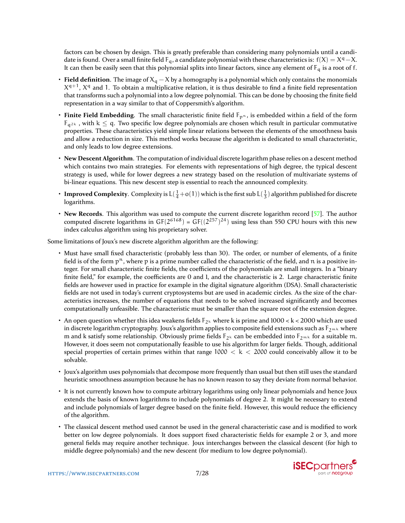<span id="page-6-0"></span>factors can be chosen by design. This is greatly preferable than considering many polynomials until a candidate is found. Over a small finite field  $F_q$ , a candidate polynomial with these characteristics is:  $f(X) = X^q - X$ . It can then be easily seen that this polynomial splits into linear factors, since any element of  $F_q$  is a root of f.

- **Field definition**. The image of  $X_q X$  by a homography is a polynomial which only contains the monomials  $X^{q+1}$ ,  $X^q$  and 1. To obtain a multiplicative relation, it is thus desirable to find a finite field representation that transforms such a polynomial into a low degree polynomial. This can be done by choosing the finite field representation in a way similar to that of Coppersmith's algorithm.
- **Finite Field Embedding**. The small characteristic finite field  $F_{p^n}$ , is embedded within a field of the form  $F_{q^{2k}}$ , with  $k \leq q$ . Two specific low degree polynomials are chosen which result in particular commutative properties. These characteristics yield simple linear relations between the elements of the smoothness basis and allow a reduction in size. This method works because the algorithm is dedicated to small characteristic, and only leads to low degree extensions.
- **New Descent Algorithm**. The computation of individual discrete logarithm phase relies on a descent method which contains two main strategies. For elements with representations of high degree, the typical descent strategy is used, while for lower degrees a new strategy based on the resolution of multivariate systems of bi-linear equations. This new descent step is essential to reach the announced complexity.
- **Improved Complexity**. Complexity is  $L(\frac{1}{4}+o(1))$  which is the first sub  $L(\frac{1}{3})$  algorithm published for discrete logarithms.
- **New Records**. This algorithm was used to compute the current discrete logarithm record [\[57\]](#page-25-8). The author computed discrete logarithms in  $GF(2^{6168}) = GF((2^{257})^{24})$  using less than 550 CPU hours with this new index calculus algorithm using his proprietary solver.

Some limitations of Joux's new discrete algorithm algorithm are the following:

- Must have small fixed characteristic (probably less than 30). The order, or number of elements, of a finite field is of the form  $p<sup>n</sup>$ , where p is a prime number called the characteristic of the field, and n is a positive integer. For small characteristic finite fields, the coefficients of the polynomials are small integers. In a "binary finite field," for example, the coefficients are 0 and 1, and the characteristic is 2. Large characteristic finite fields are however used in practice for example in the digital signature algorithm (DSA). Small characteristic fields are not used in today's current cryptosystems but are used in academic circles. As the size of the characteristics increases, the number of equations that needs to be solved increased significantly and becomes computationally unfeasible. The characteristic must be smaller than the square root of the extension degree.
- An open question whether this idea weakens fields  $F_{2^k}$  where k is prime and  $1000 < k < 2000$  which are used in discrete logarithm cryptography. Joux's algorithm applies to composite field extensions such as  $F_{2^m}$  where m and k satisfy some relationship. Obviously prime fields  $F_{2^k}$  can be embedded into  $F_{2^m k}$  for a suitable m. However, it does seem not computationally feasible to use his algorithm for larger fields. Though, additional special properties of certain primes within that range  $1000 < k < 2000$  could conceivably allow it to be solvable.
- Joux's algorithm uses polynomials that decompose more frequently than usual but then still uses the standard heuristic smoothness assumption because he has no known reason to say they deviate from normal behavior.
- It is not currently known how to compute arbitrary logarithms using only linear polynomials and hence Joux extends the basis of known logarithms to include polynomials of degree 2. It might be necessary to extend and include polynomials of larger degree based on the finite field. However, this would reduce the efficiency of the algorithm.
- The classical descent method used cannot be used in the general characteristic case and is modified to work better on low degree polynomials. It does support fixed characteristic fields for example 2 or 3, and more general fields may require another technique. Joux interchanges between the classical descent (for high to middle degree polynomials) and the new descent (for medium to low degree polynomial).

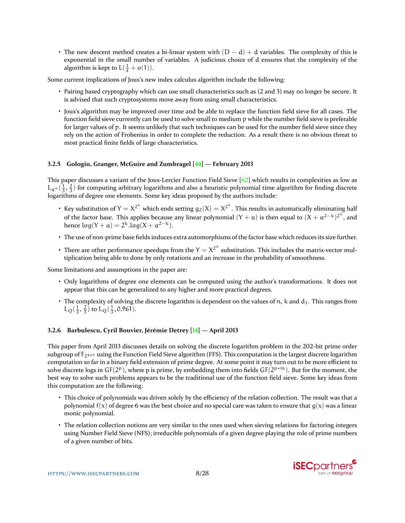<span id="page-7-0"></span>• The new descent method creates a bi-linear system with  $(D - d) + d$  variables. The complexity of this is exponential in the small number of variables. A judicious choice of d ensures that the complexity of the algorithm is kept to  $L(\frac{1}{4} + o(1))$ .

Some current implications of Joux's new index calculus algorithm include the following:

- Pairing based cryptography which can use small characteristics such as (2 and 3) may no longer be secure. It is advised that such cryptosystems move away from using small characteristics.
- Joux's algorithm may be improved over time and be able to replace the function field sieve for all cases. The function field sieve currently can be used to solve small to medium p while the number field sieve is preferable for larger values of p. It seems unlikely that such techniques can be used for the number field sieve since they rely on the action of Frobenius in order to complete the reduction. As a result there is no obvious threat to most practical finite fields of large characteristics.

### **3.2.5 Gologiu, Granger, McGuire and Zumbragel [\[44\]](#page-25-3) — February 2013**

This paper discusses a variant of the Joux-Lercier Function Field Sieve  $[62]$  which results in complexities as low as  $L_{q^n}(\frac{1}{3},\frac{2}{3})$  for computing arbitrary logarithms and also a heuristic polynomial time algorithm for finding discrete logarithms of degree one elements. Some key ideas proposed by the authors include:

- Key substitution of  $Y = X^{2^k}$  which ends setting  $g_2(X) = X^{2^k}$ . This results in automatically eliminating half of the factor base. This applies because any linear polynomial  $(Y + a)$  is then equal to  $(X + a^{2-k})^{2^k}$ , and hence  $\log(Y + a) = 2^k \cdot \log(X + a^{2-k}).$
- The use of non-prime base fields induces extra automorphisms of the factor base which reduces its size further.
- There are other performance speedups from the  $Y = X^{2^k}$  substitution. This includes the matrix-vector multiplication being able to done by only rotations and an increase in the probability of smoothness.

Some limitations and assumptions in the paper are:

- Only logarithms of degree one elements can be computed using the author's transformations. It does not appear that this can be generalized to any higher and more practical degrees.
- The complexity of solving the discrete logarithm is dependent on the values of  $n$ , k and  $d_1$ . This ranges from  $L_Q(\frac{1}{3}, \frac{2}{3})$  to  $L_Q(\frac{1}{3}, 0.961)$ .

### **3.2.6 Barbulescu, Cyril Bouvier, Jérémie Detrey [\[14\]](#page-23-3) — April 2013**

This paper from April 2013 discusses details on solving the discrete logarithm problem in the 202-bit prime order subgroup of  $F_{2809}$  using the Function Field Sieve algorithm (FFS). This computation is the largest discrete logarithm computation so far in a binary field extension of prime degree. At some point it may turn out to be more efficient to solve discrete logs in GF(2<sup>p</sup>), where p is prime, by embedding them into fields GF(2<sup>p\*m</sup>). But for the moment, the best way to solve such problems appears to be the traditional use of the function field sieve. Some key ideas from this computation are the following:

- This choice of polynomials was driven solely by the efficiency of the relation collection. The result was that a polynomial  $f(x)$  of degree 6 was the best choice and no special care was taken to ensure that  $g(x)$  was a linear monic polynomial.
- The relation collection notions are very similar to the ones used when sieving relations for factoring integers using Number Field Sieve (NFS); irreducible polynomials of a given degree playing the role of prime numbers of a given number of bits.

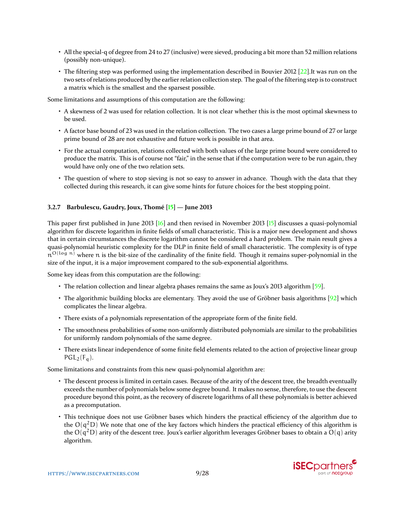- <span id="page-8-0"></span>• All the special-q of degree from 24 to 27 (inclusive) were sieved, producing a bit more than 52 million relations (possibly non-unique).
- The filtering step was performed using the implementation described in Bouvier 2012 [\[22\]](#page-24-1). It was run on the two sets of relations produced by the earlier relation collection step. The goal of the filtering step is to construct a matrix which is the smallest and the sparsest possible.

Some limitations and assumptions of this computation are the following:

- A skewness of 2 was used for relation collection. It is not clear whether this is the most optimal skewness to be used.
- A factor base bound of 23 was used in the relation collection. The two cases a large prime bound of 27 or large prime bound of 28 are not exhaustive and future work is possible in that area.
- For the actual computation, relations collected with both values of the large prime bound were considered to produce the matrix. This is of course not "fair," in the sense that if the computation were to be run again, they would have only one of the two relation sets.
- The question of where to stop sieving is not so easy to answer in advance. Though with the data that they collected during this research, it can give some hints for future choices for the best stopping point.

### **3.2.7 Barbulescu, Gaudry, Joux, Thomé [\[15\]](#page-23-4) — June 2013**

This paper first published in June 2013 [\[16\]](#page-23-5) and then revised in November 2013 [\[15\]](#page-23-4) discusses a quasi-polynomial algorithm for discrete logarithm in finite fields of small characteristic. This is a major new development and shows that in certain circumstances the discrete logarithm cannot be considered a hard problem. The main result gives a quasi-polynomial heuristic complexity for the DLP in finite field of small characteristic. The complexity is of type n<sup>O(log n)</sup> where n is the bit-size of the cardinality of the finite field. Though it remains super-polynomial in the size of the input, it is a major improvement compared to the sub-exponential algorithms.

Some key ideas from this computation are the following:

- The relation collection and linear algebra phases remains the same as Joux's 2013 algorithm [\[59\]](#page-25-1).
- The algorithmic building blocks are elementary. They avoid the use of Gröbner basis algorithms [\[92\]](#page-27-6) which complicates the linear algebra.
- There exists of a polynomials representation of the appropriate form of the finite field.
- The smoothness probabilities of some non-uniformly distributed polynomials are similar to the probabilities for uniformly random polynomials of the same degree.
- There exists linear independence of some finite field elements related to the action of projective linear group  $PGL_2(F_a)$ .

Some limitations and constraints from this new quasi-polynomial algorithm are:

- The descent process is limited in certain cases. Because of the arity of the descent tree, the breadth eventually exceeds the number of polynomials below some degree bound. It makes no sense, therefore, to use the descent procedure beyond this point, as the recovery of discrete logarithms of all these polynomials is better achieved as a precomputation.
- This technique does not use Gröbner bases which hinders the practical efficiency of the algorithm due to the  $O(q^2D)$  We note that one of the key factors which hinders the practical efficiency of this algorithm is the  $O(q^2D)$  arity of the descent tree. Joux's earlier algorithm leverages Gröbner bases to obtain a  $O(q)$  arity algorithm.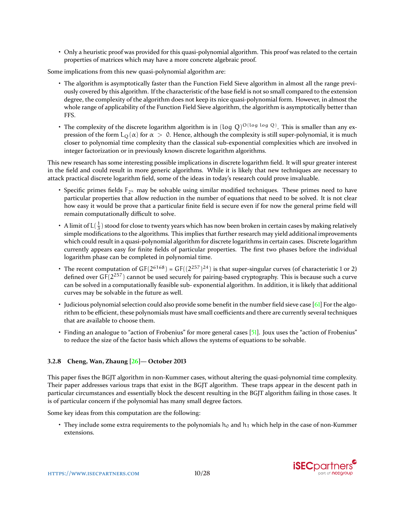<span id="page-9-0"></span>• Only a heuristic proof was provided for this quasi-polynomial algorithm. This proof was related to the certain properties of matrices which may have a more concrete algebraic proof.

Some implications from this new quasi-polynomial algorithm are:

- The algorithm is asymptotically faster than the Function Field Sieve algorithm in almost all the range previously covered by this algorithm. If the characteristic of the base field is not so small compared to the extension degree, the complexity of the algorithm does not keep its nice quasi-polynomial form. However, in almost the whole range of applicability of the Function Field Sieve algorithm, the algorithm is asymptotically better than FFS.
- The complexity of the discrete logarithm algorithm is in (log Q)<sup>O(log log Q)</sup>. This is smaller than any expression of the form L<sub>Q</sub>( $\alpha$ ) for  $\alpha > 0$ . Hence, although the complexity is still super-polynomial, it is much closer to polynomial time complexity than the classical sub-exponential complexities which are involved in integer factorization or in previously known discrete logarithm algorithms.

This new research has some interesting possible implications in discrete logarithm field. It will spur greater interest in the field and could result in more generic algorithms. While it is likely that new techniques are necessary to attack practical discrete logarithm field, some of the ideas in today's research could prove invaluable.

- Specific primes fields  $F_{2k}$  may be solvable using similar modified techniques. These primes need to have particular properties that allow reduction in the number of equations that need to be solved. It is not clear how easy it would be prove that a particular finite field is secure even if for now the general prime field will remain computationally difficult to solve.
- A limit of  $L(\frac{1}{3})$  stood for close to twenty years which has now been broken in certain cases by making relatively simple modifications to the algorithms. This implies that further research may yield additional improvements which could result in a quasi-polynomial algorithm for discrete logarithms in certain cases. Discrete logarithm currently appears easy for finite fields of particular properties. The first two phases before the individual logarithm phase can be completed in polynomial time.
- The recent computation of  $GF(2^{6168}) = GF((2^{257})^{24})$  is that super-singular curves (of characteristic 1 or 2) defined over  $GF(2^{257})$  cannot be used securely for pairing-based cryptography. This is because such a curve can be solved in a computationally feasible sub- exponential algorithm. In addition, it is likely that additional curves may be solvable in the future as well.
- Judicious polynomial selection could also provide some benefit in the number field sieve case  $[6]$  For the algorithm to be efficient, these polynomials must have small coefficients and there are currently several techniques that are available to choose them.
- Finding an analogue to "action of Frobenius" for more general cases [\[51\]](#page-25-9). Joux uses the "action of Frobenius" to reduce the size of the factor basis which allows the systems of equations to be solvable.

### **3.2.8 Cheng, Wan, Zhaung [\[26\]](#page-24-0)— October 2013**

This paper fixes the BGJT algorithm in non-Kummer cases, without altering the quasi-polynomial time complexity. Their paper addresses various traps that exist in the BGJT algorithm. These traps appear in the descent path in particular circumstances and essentially block the descent resulting in the BGJT algorithm failing in those cases. It is of particular concern if the polynomial has many small degree factors.

Some key ideas from this computation are the following:

• They include some extra requirements to the polynomials  $h_0$  and  $h_1$  which help in the case of non-Kummer extensions.

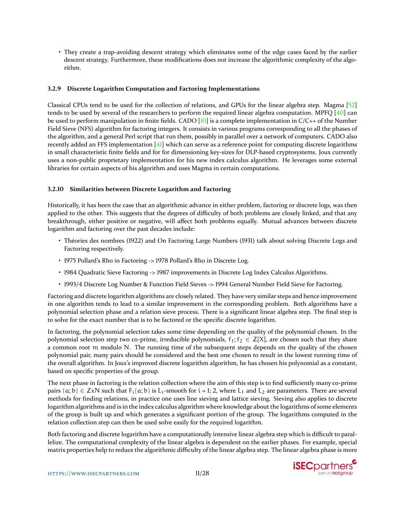<span id="page-10-0"></span>• They create a trap-avoiding descent strategy which eliminates some of the edge cases faced by the earlier descent strategy. Furthermore, these modifications does not increase the algorithmic complexity of the algorithm.

### **3.2.9 Discrete Logarithm Computation and Factoring Implementations**

Classical CPUs tend to be used for the collection of relations, and GPUs for the linear algebra step. Magma [\[52\]](#page-25-10) tends to be used by several of the researchers to perform the required linear algebra computation. MPFQ [\[40\]](#page-24-2) can be used to perform manipulation in finite fields. CADO [\[10\]](#page-23-2) is a complete implementation in  $C/C++$  of the Number Field Sieve (NFS) algorithm for factoring integers. It consists in various programs corresponding to all the phases of the algorithm, and a general Perl script that run them, possibly in parallel over a network of computers. CADO also recently added an FFS implementation [\[41\]](#page-25-11) which can serve as a reference point for computing discrete logarithms in small characteristic finite fields and for for dimensioning key-sizes for DLP-based cryptosystems. Joux currently uses a non-public proprietary implementation for his new index calculus algorithm. He leverages some external libraries for certain aspects of his algorithm and uses Magma in certain computations.

### **3.2.10 Similarities between Discrete Logarithm and Factoring**

Historically, it has been the case that an algorithmic advance in either problem, factoring or discrete logs, was then applied to the other. This suggests that the degrees of difficulty of both problems are closely linked, and that any breakthrough, either positive or negative, will affect both problems equally. Mutual advances between discrete logarithm and factoring over the past decades include:

- Théories des nombres (1922) and On Factoring Large Numbers (1931) talk about solving Discrete Logs and Factoring respectively.
- 1975 Pollard's Rho in Factoring -> 1978 Pollard's Rho in Discrete Log.
- 1984 Quadratic Sieve Factoring -> 1987 improvements in Discrete Log Index Calculus Algorithms.
- 1993/4 Discrete Log Number & Function Field Sieves -> 1994 General Number Field Sieve for Factoring.

Factoring and discrete logarithm algorithms are closely related. They have very similar steps and hence improvement in one algorithm tends to lead to a similar improvement in the corresponding problem. Both algorithms have a polynomial selection phase and a relation sieve process. There is a significant linear algebra step. The final step is to solve for the exact number that is to be factored or the specific discrete logarithm.

In factoring, the polynomial selection takes some time depending on the quality of the polynomial chosen. In the polynomial selection step two co-prime, irreducible polynomials,  $f_1; f_2 \in \mathbb{Z}[X]$ , are chosen such that they share a common root m modulo N. The running time of the subsequent steps depends on the quality of the chosen polynomial pair, many pairs should be considered and the best one chosen to result in the lowest running time of the overall algorithm. In Joux's improved discrete logarithm algorithm, he has chosen his polynomial as a constant, based on specific properties of the group.

The next phase in factoring is the relation collection where the aim of this step is to find sufficiently many co-prime pairs  $(a, b) \in ZxN$  such that  $F_i(a, b)$  is  $L_i$ -smooth for  $i = 1; 2$ , where  $L_1$  and  $L_2$  are parameters. There are several methods for finding relations, in practice one uses line sieving and lattice sieving. Sieving also applies to discrete logarithm algorithms and is in the index calculus algorithm where knowledge about the logarithms of some elements of the group is built up and which generates a significant portion of the group. The logarithms computed in the relation collection step can then be used solve easily for the required logarithm.

Both factoring and discrete logarithm have a computationally intensive linear algebra step which is difficult to parallelize. The computational complexity of the linear algebra is dependent on the earlier phases. For example, special matrix properties help to reduce the algorithmic difficulty of the linear algebra step. The linear algebra phase is more

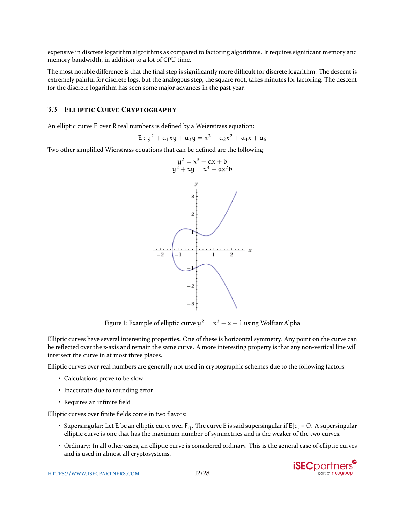expensive in discrete logarithm algorithms as compared to factoring algorithms. It requires significant memory and memory bandwidth, in addition to a lot of CPU time.

The most notable difference is that the final step is significantly more difficult for discrete logarithm. The descent is extremely painful for discrete logs, but the analogous step, the square root, takes minutes for factoring. The descent for the discrete logarithm has seen some major advances in the past year.

### **3.3 ELLIPTIC CURVE CRYPTOGRAPHY**

An elliptic curve E over R real numbers is defined by a Weierstrass equation:

$$
E: y^2 + a_1xy + a_3y = x^3 + a_2x^2 + a_4x + a_6
$$

Two other simplified Wierstrass equations that can be defined are the following:



Figure 1: Example of elliptic curve  $y^2 = x^3 - x + 1$  using WolframAlpha

Elliptic curves have several interesting properties. One of these is horizontal symmetry. Any point on the curve can be reflected over the x-axis and remain the same curve. A more interesting property is that any non-vertical line will intersect the curve in at most three places.

Elliptic curves over real numbers are generally not used in cryptographic schemes due to the following factors:

- Calculations prove to be slow
- Inaccurate due to rounding error
- Requires an infinite field

Elliptic curves over finite fields come in two flavors:

- Supersingular: Let E be an elliptic curve over  $F_q$ . The curve E is said supersingular if  $E[q] = O$ . A supersingular elliptic curve is one that has the maximum number of symmetries and is the weaker of the two curves.
- Ordinary: In all other cases, an elliptic curve is considered ordinary. This is the general case of elliptic curves and is used in almost all cryptosystems.

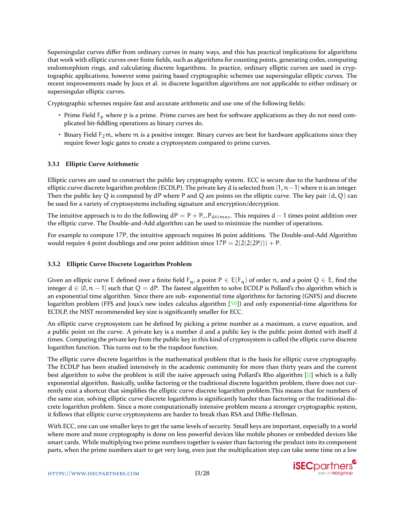<span id="page-12-0"></span>Supersingular curves differ from ordinary curves in many ways, and this has practical implications for algorithms that work with elliptic curves over finite fields, such as algorithms for counting points, generating codes, computing endomorphism rings, and calculating discrete logarithms. In practice, ordinary elliptic curves are used in cryptographic applications, however some pairing based cryptographic schemes use supersingular elliptic curves. The recent improvements made by Joux et al. in discrete logarithm algorithms are not applicable to either ordinary or supersingular elliptic curves.

Cryptographic schemes require fast and accurate arithmetic and use one of the following fields:

- Prime Field  $F_p$  where p is a prime. Prime curves are best for software applications as they do not need complicated bit-fiddling operations as binary curves do.
- Binary Field  $F_2$ m, where m is a positive integer. Binary curves are best for hardware applications since they require fewer logic gates to create a cryptosystem compared to prime curves.

### **3.3.1 Elliptic Curve Arithmetic**

Elliptic curves are used to construct the public key cryptography system. ECC is secure due to the hardness of the elliptic curve discrete logarithm problem (ECDLP). The private key d is selected from [1, n – 1] where n is an integer. Then the public key Q is computed by  $dP$  where P and Q are points on the elliptic curve. The key pair  $(d, Q)$  can be used for a variety of cryptosystems including signature and encryption/decryption.

The intuitive approach is to do the following  $dP = P + P_{\dots}P_{\text{dtimes}}$ . This requires  $d-1$  times point addition over the elliptic curve. The Double-and-Add algorithm can be used to minimize the number of operations.

For example to compute 17P, the intuitive approach requires 16 point additions. The Double-and-Add Algorithm would require 4 point doublings and one point addition since  $17P = 2(2(2(P))) + P$ .

### **3.3.2 Elliptic Curve Discrete Logarithm Problem**

Given an elliptic curve E defined over a finite field  $F_q$ , a point  $P \in E(F_q)$  of order n, and a point  $Q \in E$ , find the integer  $d \in [0, n-1]$  such that  $Q = dP$ . The fastest algorithm to solve ECDLP is Pollard's rho algorithm which is an exponential time algorithm. Since there are sub- exponential time algorithms for factoring (GNFS) and discrete logarithm problem (FFS and Joux's new index calculus algorithm [\[59\]](#page-25-1)) and only exponential-time algorithms for ECDLP, the NIST recommended key size is significantly smaller for ECC.

An elliptic curve cryptosystem can be defined by picking a prime number as a maximum, a curve equation, and a public point on the curve. A private key is a number d and a public key is the public point dotted with itself d times. Computing the private key from the public key in this kind of cryptosystem is called the elliptic curve discrete logarithm function. This turns out to be the trapdoor function.

The elliptic curve discrete logarithm is the mathematical problem that is the basis for elliptic curve cryptography. The ECDLP has been studied intensively in the academic community for more than thirty years and the current best algorithm to solve the problem is still the naive approach using Pollard's Rho algorithm [\[11\]](#page-23-6) which is a fully exponential algorithm. Basically, unlike factoring or the traditional discrete logarithm problem, there does not currently exist a shortcut that simplifies the elliptic curve discrete logarithm problem.This means that for numbers of the same size, solving elliptic curve discrete logarithms is significantly harder than factoring or the traditional discrete logarithm problem. Since a more computationally intensive problem means a stronger cryptographic system, it follows that elliptic curve cryptosystems are harder to break than RSA and Diffie-Hellman.

With ECC, one can use smaller keys to get the same levels of security. Small keys are important, especially in a world where more and more cryptography is done on less powerful devices like mobile phones or embedded devices like smart cards. While multiplying two prime numbers together is easier than factoring the product into its component parts, when the prime numbers start to get very long, even just the multiplication step can take some time on a low

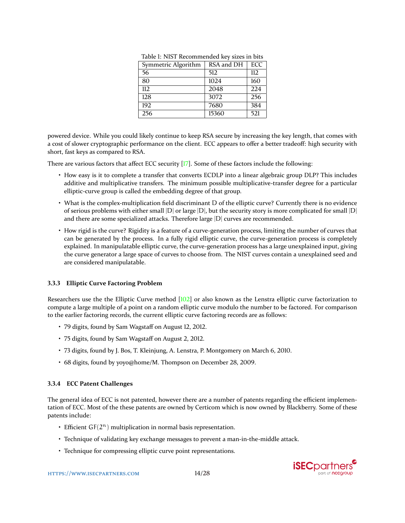| Symmetric Algorithm | RSA and DH | <b>ECC</b> |
|---------------------|------------|------------|
| 56                  | 512        | 112        |
| 80                  | 1024       | 160        |
| 112.                | 2048       | 22.4       |
| 128                 | 3072       | 256        |
| 192                 | 7680       | 384        |
| 256                 | 15360      | 521        |

Table 1: NIST Recommended key sizes in bits

<span id="page-13-0"></span>powered device. While you could likely continue to keep RSA secure by increasing the key length, that comes with a cost of slower cryptographic performance on the client. ECC appears to offer a better tradeoff: high security with short, fast keys as compared to RSA.

There are various factors that affect ECC security [\[17\]](#page-23-7). Some of these factors include the following:

- How easy is it to complete a transfer that converts ECDLP into a linear algebraic group DLP? This includes additive and multiplicative transfers. The minimum possible multiplicative-transfer degree for a particular elliptic-curve group is called the embedding degree of that group.
- What is the complex-multiplication field discriminant D of the elliptic curve? Currently there is no evidence of serious problems with either small  $|D|$  or large  $|D|$ , but the security story is more complicated for small  $|D|$ and there are some specialized attacks. Therefore large |D| curves are recommended.
- How rigid is the curve? Rigidity is a feature of a curve-generation process, limiting the number of curves that can be generated by the process. In a fully rigid elliptic curve, the curve-generation process is completely explained. In manipulatable elliptic curve, the curve-generation process has a large unexplained input, giving the curve generator a large space of curves to choose from. The NIST curves contain a unexplained seed and are considered manipulatable.

### **3.3.3 Elliptic Curve Factoring Problem**

Researchers use the the Elliptic Curve method [\[102\]](#page-27-7) or also known as the Lenstra elliptic curve factorization to compute a large multiple of a point on a random elliptic curve modulo the number to be factored. For comparison to the earlier factoring records, the current elliptic curve factoring records are as follows:

- 79 digits, found by Sam Wagstaff on August 12, 2012.
- 75 digits, found by Sam Wagstaff on August 2, 2012.
- 73 digits, found by J. Bos, T. Kleinjung, A. Lenstra, P. Montgomery on March 6, 2010.
- 68 digits, found by yoyo@home/M. Thompson on December 28, 2009.

### **3.3.4 ECC Patent Challenges**

The general idea of ECC is not patented, however there are a number of patents regarding the efficient implementation of ECC. Most of the these patents are owned by Certicom which is now owned by Blackberry. Some of these patents include:

- **•** Efficient  $GF(2^n)$  multiplication in normal basis representation.
- Technique of validating key exchange messages to prevent a man-in-the-middle attack.
- Technique for compressing elliptic curve point representations.

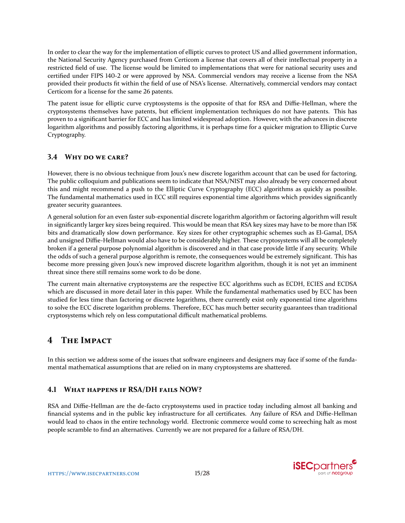In order to clear the way for the implementation of elliptic curves to protect US and allied government information, the National Security Agency purchased from Certicom a license that covers all of their intellectual property in a restricted field of use. The license would be limited to implementations that were for national security uses and certified under FIPS 140-2 or were approved by NSA. Commercial vendors may receive a license from the NSA provided their products fit within the field of use of NSA's license. Alternatively, commercial vendors may contact Certicom for a license for the same 26 patents.

The patent issue for elliptic curve cryptosystems is the opposite of that for RSA and Diffie-Hellman, where the cryptosystems themselves have patents, but efficient implementation techniques do not have patents. This has proven to a significant barrier for ECC and has limited widespread adoption. However, with the advances in discrete logarithm algorithms and possibly factoring algorithms, it is perhaps time for a quicker migration to Elliptic Curve Cryptography.

## **3.4 WHY DO WE CARE?**

However, there is no obvious technique from Joux's new discrete logarithm account that can be used for factoring. The public colloquium and publications seem to indicate that NSA/NIST may also already be very concerned about this and might recommend a push to the Elliptic Curve Cryptography (ECC) algorithms as quickly as possible. The fundamental mathematics used in ECC still requires exponential time algorithms which provides significantly greater security guarantees.

A general solution for an even faster sub-exponential discrete logarithm algorithm or factoring algorithm will result in significantly larger key sizes being required. This would be mean that RSA key sizes may have to be more than 15K bits and dramatically slow down performance. Key sizes for other cryptographic schemes such as El-Gamal, DSA and unsigned Diffie-Hellman would also have to be considerably higher. These cryptosystems will all be completely broken if a general purpose polynomial algorithm is discovered and in that case provide little if any security. While the odds of such a general purpose algorithm is remote, the consequences would be extremely significant. This has become more pressing given Joux's new improved discrete logarithm algorithm, though it is not yet an imminent threat since there still remains some work to do be done.

The current main alternative cryptosystems are the respective ECC algorithms such as ECDH, ECIES and ECDSA which are discussed in more detail later in this paper. While the fundamental mathematics used by ECC has been studied for less time than factoring or discrete logarithms, there currently exist only exponential time algorithms to solve the ECC discrete logarithm problems. Therefore, ECC has much better security guarantees than traditional cryptosystems which rely on less computational difficult mathematical problems.

## **4 THE IMPACT**

In this section we address some of the issues that software engineers and designers may face if some of the fundamental mathematical assumptions that are relied on in many cryptosystems are shattered.

## **4.1 WHAT HAPPENS IF RSA/DH FAILS NOW?**

RSA and Diffie-Hellman are the de-facto cryptosystems used in practice today including almost all banking and financial systems and in the public key infrastructure for all certificates. Any failure of RSA and Diffie-Hellman would lead to chaos in the entire technology world. Electronic commerce would come to screeching halt as most people scramble to find an alternatives. Currently we are not prepared for a failure of RSA/DH.

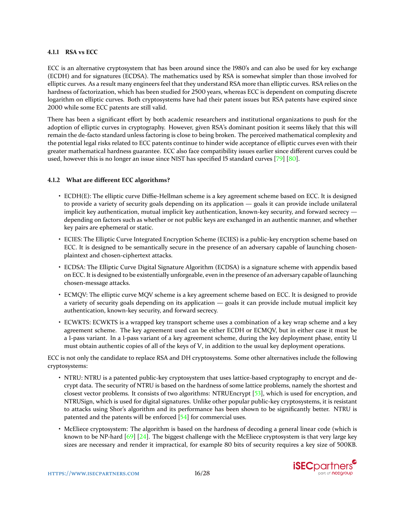### <span id="page-15-0"></span>**4.1.1 RSA vs ECC**

ECC is an alternative cryptosystem that has been around since the 1980's and can also be used for key exchange (ECDH) and for signatures (ECDSA). The mathematics used by RSA is somewhat simpler than those involved for elliptic curves. As a result many engineers feel that they understand RSA more than elliptic curves. RSA relies on the hardness of factorization, which has been studied for 2500 years, whereas ECC is dependent on computing discrete logarithm on elliptic curves. Both cryptosystems have had their patent issues but RSA patents have expired since 2000 while some ECC patents are still valid.

There has been a significant effort by both academic researchers and institutional organizations to push for the adoption of elliptic curves in cryptography. However, given RSA's dominant position it seems likely that this will remain the de-facto standard unless factoring is close to being broken. The perceived mathematical complexity and the potential legal risks related to ECC patents continue to hinder wide acceptance of elliptic curves even with their greater mathematical hardness guarantee. ECC also face compatibility issues earlier since different curves could be used, however this is no longer an issue since NIST has specified 15 standard curves [\[79\]](#page-26-4) [\[80\]](#page-26-5).

### **4.1.2 What are different ECC algorithms?**

- ECDH(E): The elliptic curve Diffie-Hellman scheme is a key agreement scheme based on ECC. It is designed to provide a variety of security goals depending on its application — goals it can provide include unilateral implicit key authentication, mutual implicit key authentication, known-key security, and forward secrecy depending on factors such as whether or not public keys are exchanged in an authentic manner, and whether key pairs are ephemeral or static.
- ECIES: The Elliptic Curve Integrated Encryption Scheme (ECIES) is a public-key encryption scheme based on ECC. It is designed to be semantically secure in the presence of an adversary capable of launching chosenplaintext and chosen-ciphertext attacks.
- ECDSA: The Elliptic Curve Digital Signature Algorithm (ECDSA) is a signature scheme with appendix based on ECC. It is designed to be existentially unforgeable, even in the presence of an adversary capable of launching chosen-message attacks.
- ECMQV: The elliptic curve MQV scheme is a key agreement scheme based on ECC. It is designed to provide a variety of security goals depending on its application — goals it can provide include mutual implicit key authentication, known-key security, and forward secrecy.
- ECWKTS: ECWKTS is a wrapped key transport scheme uses a combination of a key wrap scheme and a key agreement scheme. The key agreement used can be either ECDH or ECMQV, but in either case it must be a 1-pass variant. In a 1-pass variant of a key agreement scheme, during the key deployment phase, entity U must obtain authentic copies of all of the keys of V, in addition to the usual key deployment operations.

ECC is not only the candidate to replace RSA and DH cryptosystems. Some other alternatives include the following cryptosystems:

- NTRU: NTRU is a patented public-key cryptosystem that uses lattice-based cryptography to encrypt and decrypt data. The security of NTRU is based on the hardness of some lattice problems, namely the shortest and closest vector problems. It consists of two algorithms: NTRUEncrypt [\[53\]](#page-25-12), which is used for encryption, and NTRUSign, which is used for digital signatures. Unlike other popular public-key cryptosystems, it is resistant to attacks using Shor's algorithm and its performance has been shown to be significantly better. NTRU is patented and the patents will be enforced [\[54\]](#page-25-13) for commercial uses.
- McEliece cryptosystem: The algorithm is based on the hardness of decoding a general linear code (which is known to be NP-hard  $[69]$   $[24]$ . The biggest challenge with the McEliece cryptosystem is that very large key sizes are necessary and render it impractical, for example 80 bits of security requires a key size of 500KB.

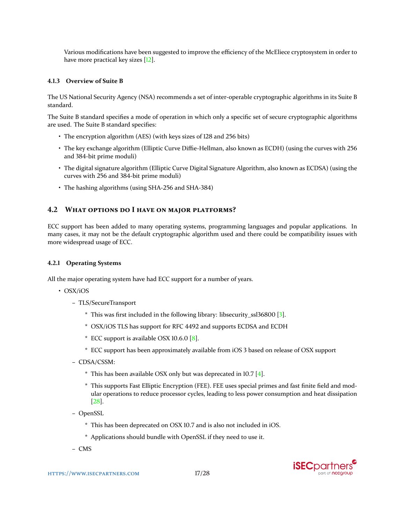<span id="page-16-0"></span>Various modifications have been suggested to improve the efficiency of the McEliece cryptosystem in order to have more practical key sizes [\[12\]](#page-23-8).

### **4.1.3 Overview of Suite B**

The US National Security Agency (NSA) recommends a set of inter-operable cryptographic algorithms in its Suite B standard.

The Suite B standard specifies a mode of operation in which only a specific set of secure cryptographic algorithms are used. The Suite B standard specifies:

- The encryption algorithm (AES) (with keys sizes of 128 and 256 bits)
- The key exchange algorithm (Elliptic Curve Diffie-Hellman, also known as ECDH) (using the curves with 256 and 384-bit prime moduli)
- The digital signature algorithm (Elliptic Curve Digital Signature Algorithm, also known as ECDSA) (using the curves with 256 and 384-bit prime moduli)
- The hashing algorithms (using SHA-256 and SHA-384)

### **4.2 WHAT OPTIONS DO I HAVE ON MAJOR PLATFORMS?**

ECC support has been added to many operating systems, programming languages and popular applications. In many cases, it may not be the default cryptographic algorithm used and there could be compatibility issues with more widespread usage of ECC.

### **4.2.1 Operating Systems**

All the major operating system have had ECC support for a number of years.

- OSX/iOS
	- **–** TLS/SecureTransport
		- \* This was first included in the following library: libsecurity\_ssl36800 [\[3\]](#page-23-9).
		- \* OSX/iOS TLS has support for RFC 4492 and supports ECDSA and ECDH
		- \* ECC support is available OSX 10.6.0 [\[8\]](#page-23-10).
		- \* ECC support has been approximately available from iOS 3 based on release of OSX support
	- **–** CDSA/CSSM:
		- \* This has been available OSX only but was deprecated in 10.7 [\[4\]](#page-23-11).
		- \* This supports Fast Elliptic Encryption (FEE). FEE uses special primes and fast finite field and modular operations to reduce processor cycles, leading to less power consumption and heat dissipation [\[28\]](#page-24-4).
	- **–** OpenSSL
		- \* This has been deprecated on OSX 10.7 and is also not included in iOS.
		- \* Applications should bundle with OpenSSL if they need to use it.
	- **–** CMS

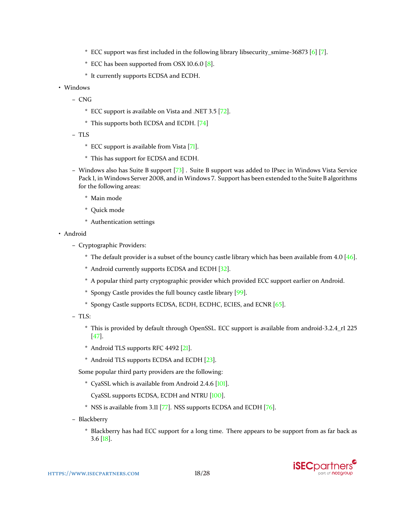- <span id="page-17-0"></span>\* ECC support was first included in the following library libsecurity smime-36873 [\[6\]](#page-23-12) [\[7\]](#page-23-13).
- \* ECC has been supported from OSX 10.6.0 [\[8\]](#page-23-10).
- \* It currently supports ECDSA and ECDH.
- Windows
	- **–** CNG
		- \* ECC support is available on Vista and .NET 3.5 [\[72\]](#page-26-7).
		- \* This supports both ECDSA and ECDH. [\[74\]](#page-26-8)
	- **–** TLS
		- \* ECC support is available from Vista [\[71\]](#page-26-9).
		- \* This has support for ECDSA and ECDH.
	- **–** Windows also has Suite B support [\[73\]](#page-26-10) . Suite B support was added to IPsec in Windows Vista Service Pack 1, in Windows Server 2008, and in Windows 7. Support has been extended to the Suite B algorithms for the following areas:
		- \* Main mode
		- \* Quick mode
		- \* Authentication settings
- Android
	- **–** Cryptographic Providers:
		- $*$  The default provider is a subset of the bouncy castle library which has been available from 4.0 [\[46\]](#page-25-14).
		- \* Android currently supports ECDSA and ECDH [\[32\]](#page-24-5).
		- \* A popular third party cryptographic provider which provided ECC support earlier on Android.
		- \* Spongy Castle provides the full bouncy castle library [\[99\]](#page-27-8).
		- \* Spongy Castle supports ECDSA, ECDH, ECDHC, ECIES, and ECNR [\[65\]](#page-26-11).
	- **–** TLS:
		- \* This is provided by default through OpenSSL. ECC support is available from android-3.2.4\_r1 225 [\[47\]](#page-25-15).
		- \* Android TLS supports RFC 4492 [\[21\]](#page-24-6).
		- \* Android TLS supports ECDSA and ECDH [\[23\]](#page-24-7).

Some popular third party providers are the following:

- \* CyaSSL which is available from Android 2.4.6 [\[101\]](#page-27-9).
	- CyaSSL supports ECDSA, ECDH and NTRU [\[100\]](#page-27-10).
- \* NSS is available from 3.11 [\[77\]](#page-26-12). NSS supports ECDSA and ECDH [\[76\]](#page-26-13).
- **–** Blackberry
	- \* Blackberry has had ECC support for a long time. There appears to be support from as far back as 3.6 [\[18\]](#page-23-14).

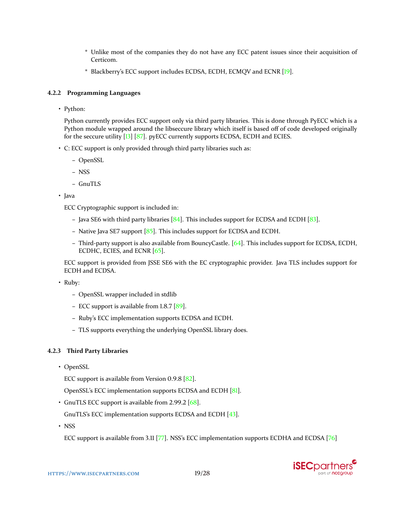- <span id="page-18-0"></span>\* Unlike most of the companies they do not have any ECC patent issues since their acquisition of Certicom.
- \* Blackberry's ECC support includes ECDSA, ECDH, ECMQV and ECNR [\[19\]](#page-23-15).

## **4.2.2 Programming Languages**

• Python:

Python currently provides ECC support only via third party libraries. This is done through PyECC which is a Python module wrapped around the libseccure library which itself is based off of code developed originally for the seccure utility [\[13\]](#page-23-16) [\[87\]](#page-27-11). pyECC currently supports ECDSA, ECDH and ECIES.

- C: ECC support is only provided through third party libraries such as:
	- **–** OpenSSL
	- **–** NSS
	- **–** GnuTLS
- Java

ECC Cryptographic support is included in:

- **–** Java SE6 with third party libraries [\[84\]](#page-27-12). This includes support for ECDSA and ECDH [\[83\]](#page-27-13).
- **–** Native Java SE7 support [\[85\]](#page-27-14). This includes support for ECDSA and ECDH.
- **–** Third-party support is also available from BouncyCastle. [\[64\]](#page-26-14). This includes support for ECDSA, ECDH, ECDHC, ECIES, and ECNR [\[65\]](#page-26-11).

ECC support is provided from JSSE SE6 with the EC cryptographic provider. Java TLS includes support for ECDH and ECDSA.

• Ruby:

- **–** OpenSSL wrapper included in stdlib
- **–** ECC support is available from 1.8.7 [\[89\]](#page-27-15).
- **–** Ruby's ECC implementation supports ECDSA and ECDH.
- **–** TLS supports everything the underlying OpenSSL library does.

## **4.2.3 Third Party Libraries**

• OpenSSL

ECC support is available from Version 0.9.8 [\[82\]](#page-27-16).

OpenSSL's ECC implementation supports ECDSA and ECDH [\[81\]](#page-26-15).

• GnuTLS ECC support is available from 2.99.2 [\[68\]](#page-26-16).

GnuTLS's ECC implementation supports ECDSA and ECDH [\[43\]](#page-25-16).

• NSS

ECC support is available from 3.11 [\[77\]](#page-26-12). NSS's ECC implementation supports ECDHA and ECDSA [\[76\]](#page-26-13)

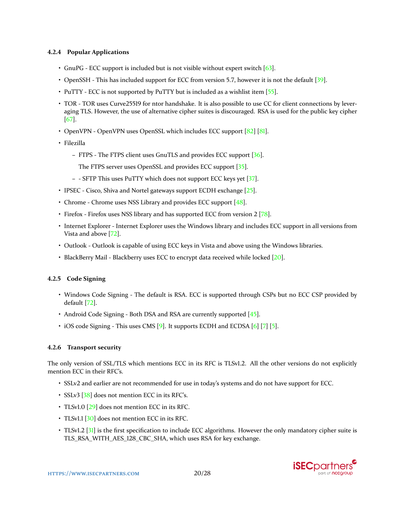### <span id="page-19-0"></span>**4.2.4 Popular Applications**

- GnuPG ECC support is included but is not visible without expert switch [\[63\]](#page-26-17).
- OpenSSH This has included support for ECC from version 5.7, however it is not the default [\[39\]](#page-24-8).
- PuTTY ECC is not supported by PuTTY but is included as a wishlist item [\[55\]](#page-25-17).
- TOR TOR uses Curve25519 for ntor handshake. It is also possible to use CC for client connections by leveraging TLS. However, the use of alternative cipher suites is discouraged. RSA is used for the public key cipher [\[67\]](#page-26-18).
- OpenVPN OpenVPN uses OpenSSL which includes ECC support [\[82\]](#page-27-16) [\[81\]](#page-26-15).
- Filezilla
	- **–** FTPS The FTPS client uses GnuTLS and provides ECC support [\[36\]](#page-24-9).
		- The FTPS server uses OpenSSL and provides ECC support [\[35\]](#page-24-10).
	- **–** SFTP This uses PuTTY which does not support ECC keys yet [\[37\]](#page-24-11).
- IPSEC Cisco, Shiva and Nortel gateways support ECDH exchange [\[25\]](#page-24-12).
- Chrome Chrome uses NSS Library and provides ECC support [\[48\]](#page-25-18).
- Firefox Firefox uses NSS library and has supported ECC from version 2 [\[78\]](#page-26-19).
- Internet Explorer Internet Explorer uses the Windows library and includes ECC support in all versions from Vista and above [\[72\]](#page-26-7).
- Outlook Outlook is capable of using ECC keys in Vista and above using the Windows libraries.
- BlackBerry Mail Blackberry uses ECC to encrypt data received while locked [\[20\]](#page-24-13).

### **4.2.5 Code Signing**

- Windows Code Signing The default is RSA. ECC is supported through CSPs but no ECC CSP provided by default [\[72\]](#page-26-7).
- Android Code Signing Both DSA and RSA are currently supported [\[45\]](#page-25-19).
- iOS code Signing This uses CMS [\[9\]](#page-23-17). It supports ECDH and ECDSA [\[6\]](#page-23-12) [\[7\]](#page-23-13) [\[5\]](#page-23-18).

### **4.2.6 Transport security**

The only version of SSL/TLS which mentions ECC in its RFC is TLSv1.2. All the other versions do not explicitly mention ECC in their RFC's.

- SSLv2 and earlier are not recommended for use in today's systems and do not have support for ECC.
- SSLv3 [\[38\]](#page-24-14) does not mention ECC in its RFC's.
- TLSv1.0 [\[29\]](#page-24-15) does not mention ECC in its RFC.
- TLSvl.1 [\[30\]](#page-24-16) does not mention ECC in its RFC.
- TLSv1.2 [\[31\]](#page-24-17) is the first specification to include ECC algorithms. However the only mandatory cipher suite is TLS\_RSA\_WITH\_AES\_128\_CBC\_SHA, which uses RSA for key exchange.

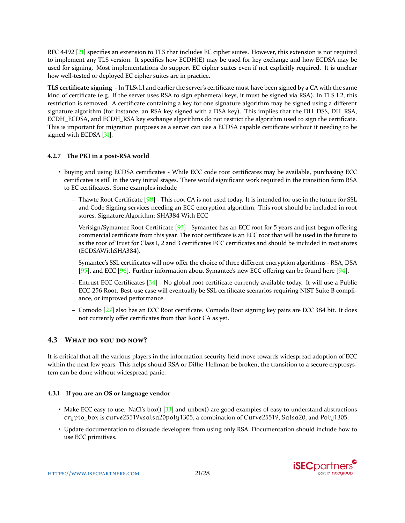<span id="page-20-0"></span>RFC 4492 [\[21\]](#page-24-6) specifies an extension to TLS that includes EC cipher suites. However, this extension is not required to implement any TLS version. It specifies how ECDH(E) may be used for key exchange and how ECDSA may be used for signing. Most implementations do support EC cipher suites even if not explicitly required. It is unclear how well-tested or deployed EC cipher suites are in practice.

**TLS certificate signing** - In TLSv1.1 and earlier the server's certificate must have been signed by a CA with the same kind of certificate (e.g. If the server uses RSA to sign ephemeral keys, it must be signed via RSA). In TLS 1.2, this restriction is removed. A certificate containing a key for one signature algorithm may be signed using a different signature algorithm (for instance, an RSA key signed with a DSA key). This implies that the DH\_DSS, DH\_RSA, ECDH\_ECDSA, and ECDH\_RSA key exchange algorithms do not restrict the algorithm used to sign the certificate. This is important for migration purposes as a server can use a ECDSA capable certificate without it needing to be signed with ECDSA [\[31\]](#page-24-17).

### **4.2.7 The PKI in a post-RSA world**

- Buying and using ECDSA certificates While ECC code root certificates may be available, purchasing ECC certificates is still in the very initial stages. There would significant work required in the transition form RSA to EC certificates. Some examples include
	- **–** Thawte Root Certificate [\[98\]](#page-27-17) This root CA is not used today. It is intended for use in the future for SSL and Code Signing services needing an ECC encryption algorithm. This root should be included in root stores. Signature Algorithm: SHA384 With ECC
	- **–** Verisign/Symantec Root Certificate [\[93\]](#page-27-18) Symantec has an ECC root for 5 years and just begun offering commercial certificate from this year. The root certificate is an ECC root that will be used in the future to as the root of Trust for Class 1, 2 and 3 certificates ECC certificates and should be included in root stores (ECDSAWithSHA384).

Symantec's SSL certificates will now offer the choice of three different encryption algorithms - RSA, DSA [\[95\]](#page-27-19), and ECC [\[96\]](#page-27-20). Further information about Symantec's new ECC offering can be found here [\[94\]](#page-27-21).

- **–** Entrust ECC Certificates [\[34\]](#page-24-18) No global root certificate currently available today. It will use a Public ECC-256 Root. Best-use case will eventually be SSL certificate scenarios requiring NIST Suite B compliance, or improved performance.
- **–** Comodo [\[27\]](#page-24-19) also has an ECC Root certificate. Comodo Root signing key pairs are ECC 384 bit. It does not currently offer certificates from that Root CA as yet.

### **4.3 WHAT DO YOU DO NOW?**

It is critical that all the various players in the information security field move towards widespread adoption of ECC within the next few years. This helps should RSA or Diffie-Hellman be broken, the transition to a secure cryptosystem can be done without widespread panic.

### **4.3.1 If you are an OS or language vendor**

- Make ECC easy to use. NaCl's box() [\[33\]](#page-24-20) and unbox() are good examples of easy to understand abstractions crypto\_box is curve25519xsalsa20poly1305, a combination of Curve25519, Salsa20, and Poly1305.
- Update documentation to dissuade developers from using only RSA. Documentation should include how to use ECC primitives.

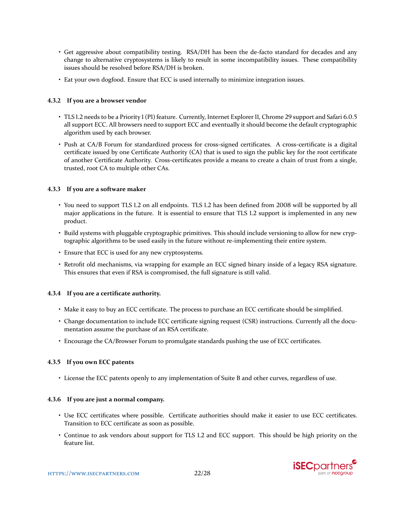- Get aggressive about compatibility testing. RSA/DH has been the de-facto standard for decades and any change to alternative cryptosystems is likely to result in some incompatibility issues. These compatibility issues should be resolved before RSA/DH is broken.
- Eat your own dogfood. Ensure that ECC is used internally to minimize integration issues.

### **4.3.2 If you are a browser vendor**

- TLS 1.2 needs to be a Priority 1 (P1) feature. Currently, Internet Explorer 11, Chrome 29 support and Safari 6.0.5 all support ECC. All browsers need to support ECC and eventually it should become the default cryptographic algorithm used by each browser.
- Push at CA/B Forum for standardized process for cross-signed certificates. A cross-certificate is a digital certificate issued by one Certificate Authority (CA) that is used to sign the public key for the root certificate of another Certificate Authority. Cross-certificates provide a means to create a chain of trust from a single, trusted, root CA to multiple other CAs.

### **4.3.3 If you are a software maker**

- You need to support TLS 1.2 on all endpoints. TLS 1.2 has been defined from 2008 will be supported by all major applications in the future. It is essential to ensure that TLS 1.2 support is implemented in any new product.
- Build systems with pluggable cryptographic primitives. This should include versioning to allow for new cryptographic algorithms to be used easily in the future without re-implementing their entire system.
- Ensure that ECC is used for any new cryptosystems.
- Retrofit old mechanisms, via wrapping for example an ECC signed binary inside of a legacy RSA signature. This ensures that even if RSA is compromised, the full signature is still valid.

### **4.3.4 If you are a certificate authority.**

- Make it easy to buy an ECC certificate. The process to purchase an ECC certificate should be simplified.
- Change documentation to include ECC certificate signing request (CSR) instructions. Currently all the documentation assume the purchase of an RSA certificate.
- Encourage the CA/Browser Forum to promulgate standards pushing the use of ECC certificates.

### **4.3.5 If you own ECC patents**

• License the ECC patents openly to any implementation of Suite B and other curves, regardless of use.

### **4.3.6 If you are just a normal company.**

- Use ECC certificates where possible. Certificate authorities should make it easier to use ECC certificates. Transition to ECC certificate as soon as possible.
- Continue to ask vendors about support for TLS 1.2 and ECC support. This should be high priority on the feature list.

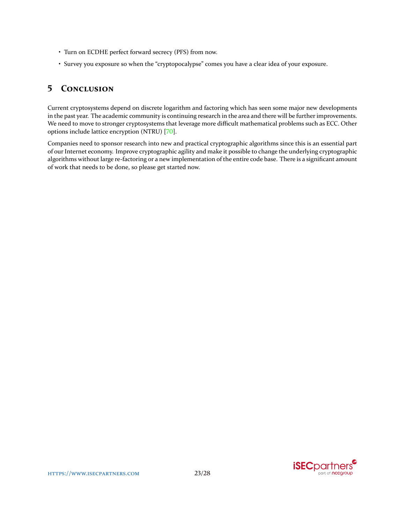- <span id="page-22-0"></span>• Turn on ECDHE perfect forward secrecy (PFS) from now.
- Survey you exposure so when the "cryptopocalypse" comes you have a clear idea of your exposure.

# **5 CONCLUSION**

Current cryptosystems depend on discrete logarithm and factoring which has seen some major new developments in the past year. The academic community is continuing research in the area and there will be further improvements. We need to move to stronger cryptosystems that leverage more difficult mathematical problems such as ECC. Other options include lattice encryption (NTRU) [\[70\]](#page-26-20).

Companies need to sponsor research into new and practical cryptographic algorithms since this is an essential part of our Internet economy. Improve cryptographic agility and make it possible to change the underlying cryptographic algorithms without large re-factoring or a new implementation of the entire code base. There is a significant amount of work that needs to be done, so please get started now.

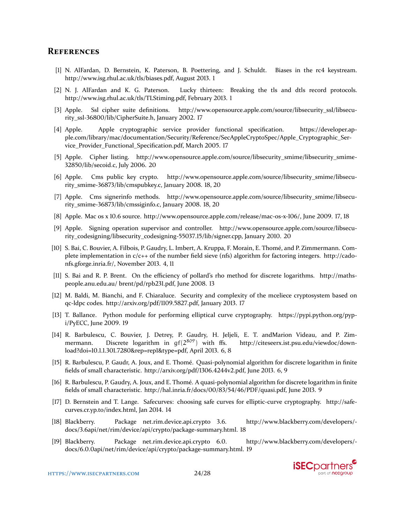## **REFERENCES**

- <span id="page-23-1"></span>[1] N. AlFardan, D. Bernstein, K. Paterson, B. Poettering, and J. Schuldt. Biases in the rc4 keystream. http://www.isg.rhul.ac.uk/tls/biases.pdf, August 2013. [1](#page-0-0)
- <span id="page-23-0"></span>[2] N. J. AlFardan and K. G. Paterson. Lucky thirteen: Breaking the tls and dtls record protocols. http://www.isg.rhul.ac.uk/tls/TLStiming.pdf, February 2013. [1](#page-0-0)
- <span id="page-23-9"></span>[3] Apple. Ssl cipher suite definitions. http://www.opensource.apple.com/source/libsecurity\_ssl/libsecurity\_ssl-36800/lib/CipherSuite.h, January 2002. [17](#page-16-0)
- <span id="page-23-11"></span>[4] Apple. Apple cryptographic service provider functional specification. https://developer.apple.com/library/mac/documentation/Security/Reference/SecAppleCryptoSpec/Apple\_Cryptographic\_Service\_Provider\_Functional\_Specification.pdf, March 2005. [17](#page-16-0)
- <span id="page-23-18"></span>[5] Apple. Cipher listing. http://www.opensource.apple.com/source/libsecurity\_smime/libsecurity\_smime-32850/lib/secoid.c, July 2006. [20](#page-19-0)
- <span id="page-23-12"></span>[6] Apple. Cms public key crypto. http://www.opensource.apple.com/source/libsecurity\_smime/libsecurity\_smime-36873/lib/cmspubkey.c, January 2008. [18,](#page-17-0) [20](#page-19-0)
- <span id="page-23-13"></span>[7] Apple. Cms signerinfo methods. http://www.opensource.apple.com/source/libsecurity\_smime/libsecurity\_smime-36873/lib/cmssiginfo.c, January 2008. [18,](#page-17-0) [20](#page-19-0)
- <span id="page-23-10"></span>[8] Apple. Mac os x 10.6 source. http://www.opensource.apple.com/release/mac-os-x-106/, June 2009. [17,](#page-16-0) [18](#page-17-0)
- <span id="page-23-17"></span>[9] Apple. Signing operation supervisor and controller. http://www.opensource.apple.com/source/libsecurity\_codesigning/libsecurity\_codesigning-55037.15/lib/signer.cpp, January 2010. [20](#page-19-0)
- <span id="page-23-2"></span>[10] S. Bai, C. Bouvier, A. Filbois, P. Gaudry, L. Imbert, A. Kruppa, F. Morain, E. Thomé, and P. Zimmermann. Complete implementation in  $c/c++$  of the number field sieve (nfs) algorithm for factoring integers. http://cadonfs.gforge.inria.fr/, November 2013. [4,](#page-3-0) [11](#page-10-0)
- <span id="page-23-6"></span>[11] S. Bai and R. P. Brent. On the efficiency of pollard's rho method for discrete logarithms. http://mathspeople.anu.edu.au/ brent/pd/rpb231.pdf, June 2008. [13](#page-12-0)
- <span id="page-23-8"></span>[12] M. Baldi, M. Bianchi, and F. Chiaraluce. Security and complexity of the mceliece cryptosystem based on qc-ldpc codes. http://arxiv.org/pdf/1109.5827.pdf, January 2013. [17](#page-16-0)
- <span id="page-23-16"></span>[13] T. Ballance. Python module for performing elliptical curve cryptography. https://pypi.python.org/pypi/PyECC, June 2009. [19](#page-18-0)
- <span id="page-23-3"></span>[14] R. Barbulescu, C. Bouvier, J. Detrey, P. Gaudry, H. Jeljeli, E. T. andMarion Videau, and P. Zimmermann. Discrete logarithm in  $gf(2^{809})$  with ffs. http://citeseerx.ist.psu.edu/viewdoc/download?doi=10.1.1.301.7280&rep=rep1&type=pdf, April 2013. [6,](#page-5-0) [8](#page-7-0)
- <span id="page-23-4"></span>[15] R. Barbulescu, P. Gaudr, A. Joux, and E. Thomé. Quasi-polynomial algorithm for discrete logarithm in finite fields of small characteristic. http://arxiv.org/pdf/1306.4244v2.pdf, June 2013. [6,](#page-5-0) [9](#page-8-0)
- <span id="page-23-5"></span>[16] R. Barbulescu, P. Gaudry, A. Joux, and E. Thomé. A quasi-polynomial algorithm for discrete logarithm in finite fields of small characteristic. http://hal.inria.fr/docs/00/83/54/46/PDF/quasi.pdf, June 2013. [9](#page-8-0)
- <span id="page-23-7"></span>[17] D. Bernstein and T. Lange. Safecurves: choosing safe curves for elliptic-curve cryptography. http://safecurves.cr.yp.to/index.html, Jan 2014. [14](#page-13-0)
- <span id="page-23-14"></span>[18] Blackberry. Package net.rim.device.api.crypto 3.6. http://www.blackberry.com/developers/ docs/3.6api/net/rim/device/api/crypto/package-summary.html. [18](#page-17-0)
- <span id="page-23-15"></span>[19] Blackberry. Package net.rim.device.api.crypto 6.0. http://www.blackberry.com/developers/ docs/6.0.0api/net/rim/device/api/crypto/package-summary.html. [19](#page-18-0)

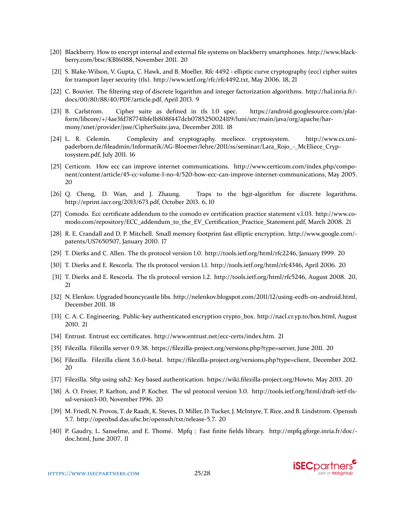- <span id="page-24-13"></span>[20] Blackberry. How to encrypt internal and external file systems on blackberry smartphones. http://www.blackberry.com/btsc/KB16088, November 2011. [20](#page-19-0)
- <span id="page-24-6"></span>[21] S. Blake-Wilson, V. Gupta, C. Hawk, and B. Moeller. Rfc 4492 - elliptic curve cryptography (ecc) cipher suites for transport layer security (tls). http://www.ietf.org/rfc/rfc4492.txt, May 2006. [18,](#page-17-0) [21](#page-20-0)
- <span id="page-24-1"></span>[22] C. Bouvier. The filtering step of discrete logarithm and integer factorization algorithms. http://hal.inria.fr/ docs/00/80/88/40/PDF/article.pdf, April 2013. [9](#page-8-0)
- <span id="page-24-7"></span>[23] B. Carlstrom. Cipher suite as defined in tls 1.0 spec. https://android.googlesource.com/platform/libcore/+/4ae3fd787741bfe1b808f447dcb0785250024119/luni/src/main/java/org/apache/harmony/xnet/provider/jsse/CipherSuite.java, December 2011. [18](#page-17-0)
- <span id="page-24-3"></span>[24] L. R. Celemín. Complexity and cryptography. mceliece. cryptosystem. http://www.cs.unipaderborn.de/fileadmin/Informatik/AG-Bloemer/lehre/2011/ss/seminar/Lara\_Rojo\_-\_McEliece\_Cryptosystem.pdf, July 2011. [16](#page-15-0)
- <span id="page-24-12"></span>[25] Certicom. How ecc can improve internet communications. http://www.certicom.com/index.php/component/content/article/45-cc-volume-1-no-4/520-how-ecc-can-improve-internet-communications, May 2005. [20](#page-19-0)
- <span id="page-24-0"></span>[26] Q. Cheng, D. Wan, and J. Zhaung. Traps to the bgjt-algorithm for discrete logarithms. http://eprint.iacr.org/2013/673.pdf, October 2013. [6,](#page-5-0) [10](#page-9-0)
- <span id="page-24-19"></span>[27] Comodo. Ecc certificate addendum to the comodo ev certification practice statement v.1.03. http://www.comodo.com/repository/ECC\_addendum\_to\_the\_EV\_Certification\_Practice\_Statement.pdf, March 2008. [21](#page-20-0)
- <span id="page-24-4"></span>[28] R. E. Crandall and D. P. Mitchell. Small memory footprint fast elliptic encryption. http://www.google.com/ patents/US7650507, January 2010. [17](#page-16-0)
- <span id="page-24-15"></span>[29] T. Dierks and C. Allen. The tls protocol version 1.0. http://tools.ietf.org/html/rfc2246, January 1999. [20](#page-19-0)
- <span id="page-24-17"></span><span id="page-24-16"></span>[30] T. Dierks and E. Rescorla. The tls protocol version 1.1. http://tools.ietf.org/html/rfc4346, April 2006. [20](#page-19-0)
- [31] T. Dierks and E. Rescorla. The tls protocol version 1.2. http://tools.ietf.org/html/rfc5246, August 2008. [20,](#page-19-0) [21](#page-20-0)
- <span id="page-24-5"></span>[32] N. Elenkov. Upgraded bouncycastle libs. http://nelenkov.blogspot.com/2011/12/using-ecdh-on-android.html, December 2011. [18](#page-17-0)
- <span id="page-24-20"></span>[33] C. A. C. Engineering. Public-key authenticated encryption crypto\_box. http://nacl.cr.yp.to/box.html, August 2010. [21](#page-20-0)
- <span id="page-24-18"></span>[34] Entrust. Entrust ecc certificates. http://www.entrust.net/ecc-certs/index.htm. [21](#page-20-0)
- <span id="page-24-10"></span>[35] Filezilla. Filezilla server 0.9.38. https://filezilla-project.org/versions.php?type=server, June 2011. [20](#page-19-0)
- <span id="page-24-9"></span>[36] Filezilla. Filezilla client 3.6.0-beta1. https://filezilla-project.org/versions.php?type=client, December 2012. [20](#page-19-0)
- <span id="page-24-11"></span>[37] Filezilla. Sftp using ssh2: Key based authentication. https://wiki.filezilla-project.org/Howto, May 2013. [20](#page-19-0)
- <span id="page-24-14"></span>[38] A. O. Freier, P. Karlton, and P. Kocher. The ssl protocol version 3.0. http://tools.ietf.org/html/draft-ietf-tlsssl-version3-00, November 1996. [20](#page-19-0)
- <span id="page-24-8"></span>[39] M. Friedl, N. Provos, T. de Raadt, K. Steves, D. Miller, D. Tucker, J. McIntyre, T. Rice, and B. Lindstrom. Openssh 5.7. http://openbsd.das.ufsc.br/openssh/txt/release-5.7. [20](#page-19-0)
- <span id="page-24-2"></span>[40] P. Gaudry, L. Sanselme, and E. Thomé. Mpfq : Fast finite fields library. http://mpfq.gforge.inria.fr/doc/ doc.html, June 2007. [11](#page-10-0)

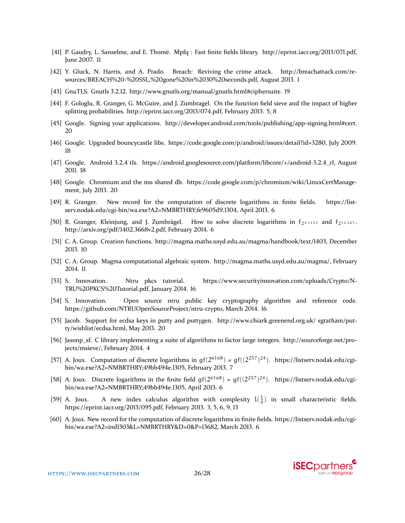- <span id="page-25-11"></span>[41] P. Gaudry, L. Sanselme, and E. Thomé. Mpfq : Fast finite fields library. http://eprint.iacr.org/2013/071.pdf, June 2007. [11](#page-10-0)
- <span id="page-25-0"></span>[42] Y. Gluck, N. Harris, and A. Prado. Breach: Reviving the crime attack. http://breachattack.com/resources/BREACH%20-%20SSL,%20gone%20in%2030%20seconds.pdf, August 2013. [1](#page-0-0)
- <span id="page-25-16"></span>[43] GnuTLS. Gnutls 3.2.12. http://www.gnutls.org/manual/gnutls.html#ciphersuite. [19](#page-18-0)
- <span id="page-25-3"></span>[44] F. Gologlu, R. Granger, G. McGuire, and J. Zumbragel. On the function field sieve and the impact of higher splitting probabilities. http://eprint.iacr.org/2013/074.pdf, February 2013. [5,](#page-4-0) [8](#page-7-0)
- <span id="page-25-19"></span>[45] Google. Signing your applications. http://developer.android.com/tools/publishing/app-signing.html#cert. [20](#page-19-0)
- <span id="page-25-14"></span>[46] Google. Upgraded bouncycastle libs. https://code.google.com/p/android/issues/detail?id=3280, July 2009. [18](#page-17-0)
- <span id="page-25-15"></span>[47] Google. Android 3.2.4 tls. https://android.googlesource.com/platform/libcore/+/android-3.2.4\_r1, August 2011. [18](#page-17-0)
- <span id="page-25-18"></span>[48] Google. Chromium and the nss shared db. https://code.google.com/p/chromium/wiki/LinuxCertManagement, July 2013. [20](#page-19-0)
- <span id="page-25-5"></span>[49] R. Granger. New record for the computation of discrete logarithms in finite fields. https://listserv.nodak.edu/cgi-bin/wa.exe?A2=NMBRTHRY;fe9605d9.1304, April 2013. [6](#page-5-0)
- <span id="page-25-7"></span>[50] R. Granger, Kleinjung, and J. Zumbrägel. How to solve discrete logarithms in  $f_{2^{4\cdot12}23}$  and  $f_{2^{12\cdot367}}$ . http://arxiv.org/pdf/1402.3668v2.pdf, February 2014. [6](#page-5-0)
- <span id="page-25-9"></span>[51] C. A. Group. Creation functions. http://magma.maths.usyd.edu.au/magma/handbook/text/1403, December 2013. [10](#page-9-0)
- <span id="page-25-10"></span>[52] C. A. Group. Magma computational algebraic system. http://magma.maths.usyd.edu.au/magma/, February 2014. [11](#page-10-0)
- <span id="page-25-12"></span>[53] S. Innovation. Ntru pkcs tutorial. https://www.securityinnovation.com/uploads/Crypto/N-TRU%20PKCS%20Tutorial.pdf, January 2014. [16](#page-15-0)
- <span id="page-25-13"></span>[54] S. Innovation. Open source ntru public key cryptography algorithm and reference code. https://github.com/NTRUOpenSourceProject/ntru-crypto, March 2014. [16](#page-15-0)
- <span id="page-25-17"></span>[55] Jacob. Support for ecdsa keys in putty and puttygen. http://www.chiark.greenend.org.uk/ sgtatham/putty/wishlist/ecdsa.html, May 2013. [20](#page-19-0)
- <span id="page-25-2"></span>[56] Jasonp\_sf. C library implementing a suite of algorithms to factor large integers. http://sourceforge.net/projects/msieve/, February 2014. [4](#page-3-0)
- <span id="page-25-8"></span>[57] A. Joux. Computation of discrete logarithms in  $gf(2^{6168}) = gf((2^{257})^{24})$ . https://listserv.nodak.edu/cgibin/wa.exe?A2=NMBRTHRY;49bb494e.1305, February 2013. [7](#page-6-0)
- <span id="page-25-6"></span>[58] A. Joux. Discrete logarithms in the finite field  $gf(2^{6168}) = gf((2^{257})^{24})$ . https://listserv.nodak.edu/cgibin/wa.exe?A2=NMBRTHRY;49bb494e.1305, April 2013. [6](#page-5-0)
- <span id="page-25-1"></span>[59] A. Joux. A new index calculus algorithm with complexity  $l(\frac{1}{4})$  in small characteristic fields. https://eprint.iacr.org/2013/095.pdf, February 2013. [3,](#page-2-0) [5,](#page-4-0) [6,](#page-5-0) [9,](#page-8-0) [13](#page-12-0)
- <span id="page-25-4"></span>[60] A. Joux. New record for the computation of discrete logarithms in finite fields. https://listserv.nodak.edu/cgibin/wa.exe?A2=ind1303&L=NMBRTHRY&D=0&P=13682, March 2013. [6](#page-5-0)

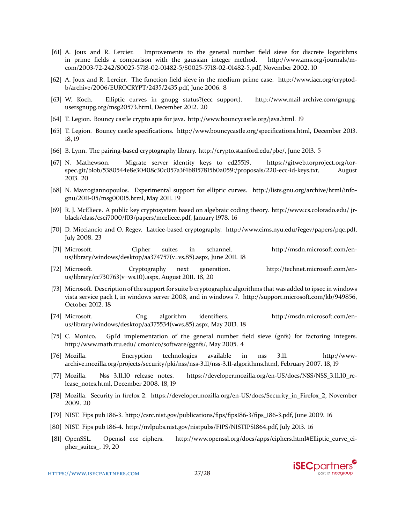- <span id="page-26-3"></span>[61] A. Joux and R. Lercier. Improvements to the general number field sieve for discrete logarithms in prime fields a comparison with the gaussian integer method. http://www.ams.org/journals/mcom/2003-72-242/S0025-5718-02-01482-5/S0025-5718-02-01482-5.pdf, November 2002. [10](#page-9-0)
- <span id="page-26-2"></span>[62] A. Joux and R. Lercier. The function field sieve in the medium prime case. http://www.iacr.org/cryptodb/archive/2006/EUROCRYPT/2435/2435.pdf, June 2006. [8](#page-7-0)
- <span id="page-26-17"></span>[63] W. Koch. Elliptic curves in gnupg status?(ecc support). http://www.mail-archive.com/gnupgusersgnupg.org/msg20573.html, December 2012. [20](#page-19-0)
- <span id="page-26-14"></span>[64] T. Legion. Bouncy castle crypto apis for java. http://www.bouncycastle.org/java.html. [19](#page-18-0)
- <span id="page-26-11"></span>[65] T. Legion. Bouncy castle specifications. http://www.bouncycastle.org/specifications.html, December 2013. [18,](#page-17-0) [19](#page-18-0)
- <span id="page-26-1"></span>[66] B. Lynn. The pairing-based cryptography library. http://crypto.stanford.edu/pbc/, June 2013. [5](#page-4-0)
- <span id="page-26-18"></span>[67] N. Mathewson. Migrate server identity keys to ed25519. https://gitweb.torproject.org/torspec.git/blob/5380544e8e30408c30c057a3f4b8157815b0a059:/proposals/220-ecc-id-keys.txt, August 2013. [20](#page-19-0)
- <span id="page-26-16"></span>[68] N. Mavrogiannopoulos. Experimental support for elliptic curves. http://lists.gnu.org/archive/html/infognu/2011-05/msg00015.html, May 2011. [19](#page-18-0)
- <span id="page-26-6"></span>[69] R. J. McEliece. A public key cryptosystem based on algebraic coding theory. http://www.cs.colorado.edu/ jrblack/class/csci7000/f03/papers/mceliece.pdf, January 1978. [16](#page-15-0)
- <span id="page-26-20"></span>[70] D. Micciancio and O. Regev. Lattice-based cryptography. http://www.cims.nyu.edu/r̃egev/papers/pqc.pdf, July 2008. [23](#page-22-0)
- <span id="page-26-9"></span>[71] Microsoft. Cipher suites in schannel. http://msdn.microsoft.com/enus/library/windows/desktop/aa374757(v=vs.85).aspx, June 2011. [18](#page-17-0)
- <span id="page-26-7"></span>[72] Microsoft. Cryptography next generation. http://technet.microsoft.com/enus/library/cc730763(v=ws.10).aspx, August 2011. [18,](#page-17-0) [20](#page-19-0)
- <span id="page-26-10"></span>[73] Microsoft. Description of the support for suite b cryptographic algorithms that was added to ipsec in windows vista service pack 1, in windows server 2008, and in windows 7. http://support.microsoft.com/kb/949856, October 2012. [18](#page-17-0)
- <span id="page-26-8"></span>[74] Microsoft. Cng algorithm identifiers. http://msdn.microsoft.com/enus/library/windows/desktop/aa375534(v=vs.85).aspx, May 2013. [18](#page-17-0)
- <span id="page-26-0"></span>[75] C. Monico. Gpl'd implementation of the general number field sieve (gnfs) for factoring integers. http://www.math.ttu.edu/ cmonico/software/ggnfs/, May 2005. [4](#page-3-0)
- <span id="page-26-13"></span>[76] Mozilla. Encryption technologies available in nss 3.11. http://wwwarchive.mozilla.org/projects/security/pki/nss/nss-3.11/nss-3.11-algorithms.html, February 2007. [18,](#page-17-0) [19](#page-18-0)
- <span id="page-26-12"></span>[77] Mozilla. Nss 3.11.10 release notes. https://developer.mozilla.org/en-US/docs/NSS/NSS\_3.11.10\_release\_notes.html, December 2008. [18,](#page-17-0) [19](#page-18-0)
- <span id="page-26-19"></span>[78] Mozilla. Security in firefox 2. https://developer.mozilla.org/en-US/docs/Security\_in\_Firefox\_2, November 2009. [20](#page-19-0)
- <span id="page-26-4"></span>[79] NIST. Fips pub 186-3. http://csrc.nist.gov/publications/fips/fips186-3/fips\_186-3.pdf, June 2009. [16](#page-15-0)
- <span id="page-26-15"></span><span id="page-26-5"></span>[80] NIST. Fips pub 186-4. http://nvlpubs.nist.gov/nistpubs/FIPS/NISTIPS1̇864.pdf, July 2013. [16](#page-15-0)
- [81] OpenSSL. Openssl ecc ciphers. http://www.openssl.org/docs/apps/ciphers.html#Elliptic\_curve\_cipher\_suites\_. [19,](#page-18-0) [20](#page-19-0)